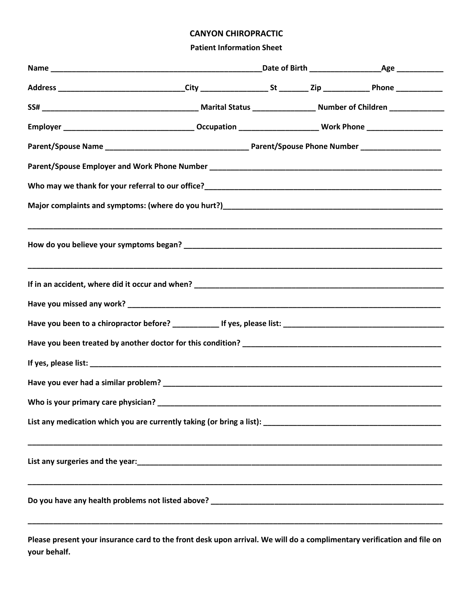## **CANYON CHIROPRACTIC**

## **Patient Information Sheet**

**Please present your insurance card to the front desk upon arrival. We will do a complimentary verification and file on your behalf.**